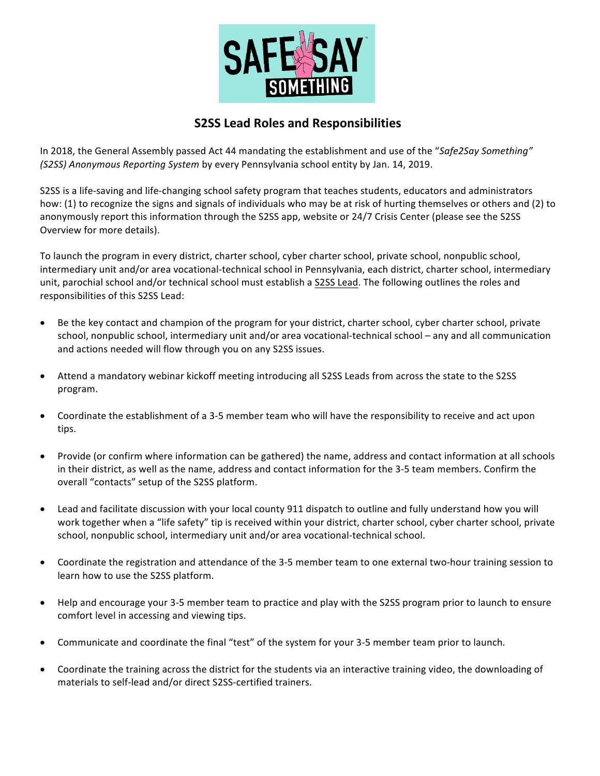

## **S2SS Lead Roles and Responsibilities**

In 2018, the General Assembly passed Act 44 mandating the establishment and use of the "*Safe2Say Something" (S2SS) Anonymous Reporting System* by every Pennsylvania school entity by Jan. 14, 2019.

S2SS is a life-saving and life-changing school safety program that teaches students, educators and administrators how: (1) to recognize the signs and signals of individuals who may be at risk of hurting themselves or others and (2) to anonymously report this information through the S2SS app, website or 24/7 Crisis Center (please see the S2SS Overview for more details).

To launch the program in every district, charter school, cyber charter school, private school, nonpublic school, intermediary unit and/or area vocational-technical school in Pennsylvania, each district, charter school, intermediary unit, parochial school and/or technical school must establish a S2SS Lead. The following outlines the roles and responsibilities of this S2SS Lead:

- Be the key contact and champion of the program for your district, charter school, cyber charter school, private school, nonpublic school, intermediary unit and/or area vocational-technical school – any and all communication and actions needed will flow through you on any S2SS issues.
- Attend a mandatory webinar kickoff meeting introducing all S2SS Leads from across the state to the S2SS program.
- Coordinate the establishment of a 3-5 member team who will have the responsibility to receive and act upon tips.
- Provide (or confirm where information can be gathered) the name, address and contact information at all schools in their district, as well as the name, address and contact information for the 3-5 team members. Confirm the overall "contacts" setup of the S2SS platform.
- Lead and facilitate discussion with your local county 911 dispatch to outline and fully understand how you will work together when a "life safety" tip is received within your district, charter school, cyber charter school, private school, nonpublic school, intermediary unit and/or area vocational-technical school.
- Coordinate the registration and attendance of the 3-5 member team to one external two-hour training session to learn how to use the S2SS platform.
- Help and encourage your 3-5 member team to practice and play with the S2SS program prior to launch to ensure comfort level in accessing and viewing tips.
- Communicate and coordinate the final "test" of the system for your 3-5 member team prior to launch.
- Coordinate the training across the district for the students via an interactive training video, the downloading of materials to self-lead and/or direct S2SS-certified trainers.